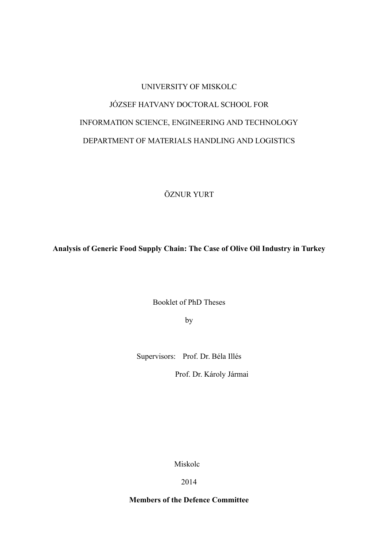# UNIVERSITY OF MISKOLC JÓZSEF HATVANY DOCTORAL SCHOOL FOR INFORMATION SCIENCE, ENGINEERING AND TECHNOLOGY DEPARTMENT OF MATERIALS HANDLING AND LOGISTICS

ÖZNUR YURT

**Analysis of Generic Food Supply Chain: The Case of Olive Oil Industry in Turkey**

Booklet of PhD Theses

by

Supervisors: Prof. Dr. Béla Illés

Prof. Dr. Károly Jármai

Miskolc

2014

**Members of the Defence Committee**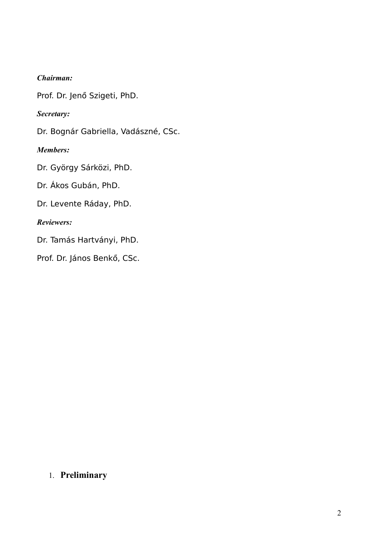# *Chairman:*

Prof. Dr. Jenő Szigeti, PhD.

*Secretary:* 

Dr. Bognár Gabriella, Vadászné, CSc.

*Members:* 

Dr. György Sárközi, PhD.

Dr. Ákos Gubán, PhD.

Dr. Levente Ráday, PhD.

*Reviewers:*

Dr. Tamás Hartványi, PhD.

Prof. Dr. János Benkő, CSc.

# 1. **Preliminary**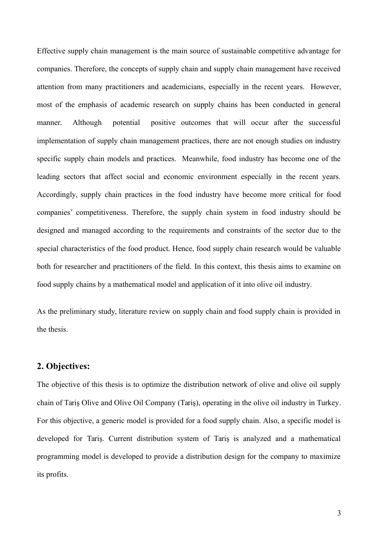Effective supply chain management is the main source of sustainable competitive advantage for companies. Therefore, the concepts of supply chain and supply chain management have received attention from many practitioners and academicians, especially in the recent years. However, most of the emphasis of academic research on supply chains has been conducted in general manner. Although potential positive outcomes that will occur after the successful implementation of supply chain management practices, there are not enough studies on industry specific supply chain models and practices. Meanwhile, food industry has become one of the leading sectors that affect social and economic environment especially in the recent years. Accordingly, supply chain practices in the food industry have become more critical for food companies' competitiveness. Therefore, the supply chain system in food industry should be designed and managed according to the requirements and constraints of the sector due to the special characteristics of the food product. Hence, food supply chain research would be valuable both for researcher and practitioners of the field. In this context, this thesis aims to examine on food supply chains by a mathematical model and application of it into olive oil industry.

As the preliminary study, literature review on supply chain and food supply chain is provided in the thesis.

## **2. Objectives:**

The objective of this thesis is to optimize the distribution network of olive and olive oil supply chain of Tariş Olive and Olive Oil Company (Tariş), operating in the olive oil industry in Turkey. For this objective, a generic model is provided for a food supply chain. Also, a specific model is developed for Tariş. Current distribution system of Tariş is analyzed and a mathematical programming model is developed to provide a distribution design for the company to maximize its profits.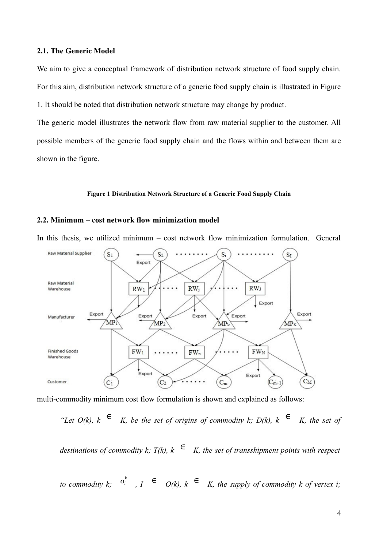#### **2.1. The Generic Model**

We aim to give a conceptual framework of distribution network structure of food supply chain. For this aim, distribution network structure of a generic food supply chain is illustrated in Figure 1. It should be noted that distribution network structure may change by product.

The generic model illustrates the network flow from raw material supplier to the customer. All possible members of the generic food supply chain and the flows within and between them are shown in the figure.

#### **Figure 1 Distribution Network Structure of a Generic Food Supply Chain**

#### **2.2. Minimum – cost network flow minimization model**

In this thesis, we utilized minimum – cost network flow minimization formulation. General



multi-commodity minimum cost flow formulation is shown and explained as follows:

*"Let O(k), k*  $∈$  *K, be the set of origins of commodity k; D(k), k*  $∈$  *K, the set of* 

*destinations of commodity k;*  $T(k)$ ,  $k \in K$ , the set of transshipment points with respect

*to commodity k*;  $o_i^k$ ,  $I \in O(k)$ ,  $k \in K$ , the supply of commodity k of vertex i;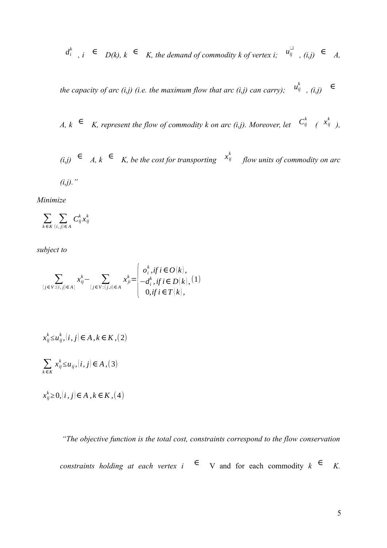$$
d_i^k
$$
,  $i \in D(k)$ ,  $k \in K$ , the demand of commodity  $k$  of vertex  $i$ ;  $u_{ij}^{\square}$ ,  $(i,j) \in A$ ,

*the capacity of arc (i,j) (i.e. the maximum flow that arc (i,j) can carry);*  $u_{ij}^k$  , (*i,j)*  $\in$ 

*A*,  $k$  **∈** K, represent the flow of commodity k on arc (i,j). Moreover, let  $C_{ij}^k$  ( $x_{ij}^k$ ),

$$
(i,j) \in A, k \in K, \text{ be the cost for transporting } x_{ij}^k \text{ flow units of commodity on arc}
$$
\n
$$
(i,j).
$$

*Minimize*

$$
\sum_{k \in K} \sum_{(i,j) \in A} C_{ij}^{k} x_{ij}^{k}
$$

*subject to*

$$
\sum_{\{j \in V: (i,j) \in A\}} x_{ij}^k - \sum_{\{j \in V: (j,i) \in A\}} x_{ji}^k = \begin{cases} o_i^k, & \text{if } i \in O(k), \\ -d_i^k, & \text{if } i \in D(k), \\ 0, & \text{if } i \in T(k), \end{cases}
$$

$$
x_{ij}^k \le u_{ij}^k, (i, j) \in A, k \in K, (2)
$$
  

$$
\sum_{k \in K} x_{ij}^k \le u_{ij}, (i, j) \in A, (3)
$$

*xij k ≥*0,(*i , j*)*∈ A , k ∈K ,*(4)

*"The objective function is the total cost, constraints correspond to the flow conservation*

*constraints holding at each vertex i*  $\in$  V and for each commodity  $k \in$ *<sup>∈</sup> K.*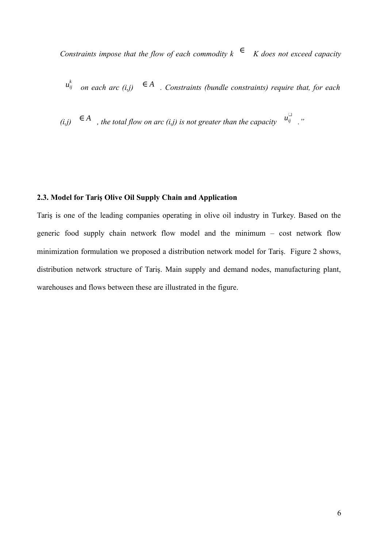*Constraints impose that the flow of each commodity*  $k \in K$  does not exceed capacity

*uij k on each arc (i,j) <sup>∈</sup> <sup>A</sup> . Constraints (bundle constraints) require that, for each*

 $(i,j)$  **∈** *A , the total flow on arc (i,j) is not greater than the capacity*  $u_{ij}^{\square}$ *."*

#### **2.3. Model for Tariş Olive Oil Supply Chain and Application**

Tariş is one of the leading companies operating in olive oil industry in Turkey. Based on the generic food supply chain network flow model and the minimum – cost network flow minimization formulation we proposed a distribution network model for Tariş. Figure 2 shows, distribution network structure of Tariş. Main supply and demand nodes, manufacturing plant, warehouses and flows between these are illustrated in the figure.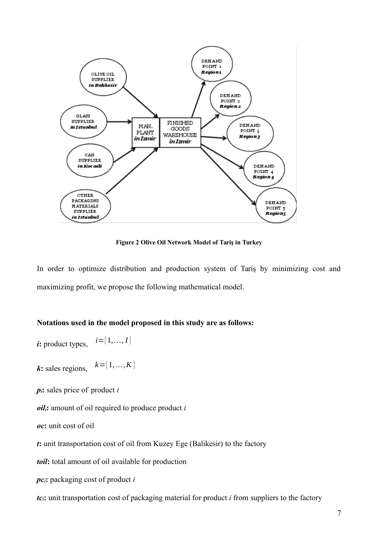

**Figure 2 Olive Oil Network Model of Tariş in Turkey**

In order to optimize distribution and production system of Tariş by minimizing cost and maximizing profit, we propose the following mathematical model.

#### **Notations used in the model proposed in this study are as follows:**

*i***:** product types,  $i=[1,..., I]$ *k***:** sales regions,  $k = \{1, \ldots, K\}$ *pi***:** sales price of product *i oili***:** amount of oil required to produce product *i oc***:** unit cost of oil *t***:** unit transportation cost of oil from Kuzey Ege (Balikesir) to the factory *toil***:** total amount of oil available for production *pci***:** packaging cost of product *i tc<sub>i</sub>*: unit transportation cost of packaging material for product *i* from suppliers to the factory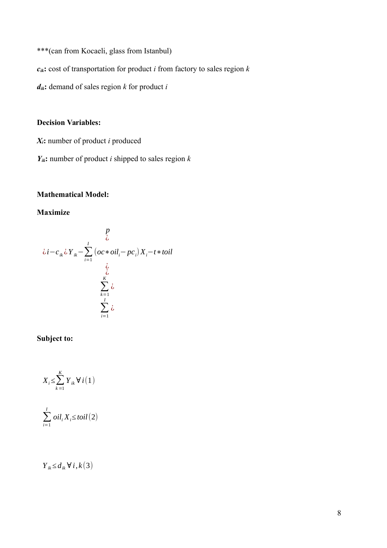\*\*\*(can from Kocaeli, glass from Istanbul)

 $c_{ik}$ **:** cost of transportation for product *i* from factory to sales region  $k$ 

*dik***:** demand of sales region *k* for product *i*

# **Decision Variables:**

*Xi***:** number of product *i* produced

 $Y_{ik}$ **:** number of product *i* shipped to sales region *k* 

# **Mathematical Model:**

# **Maximize**

$$
\frac{p}{\lambda}
$$
\n
$$
\lambda i - c_{ik} \lambda Y_{ik} - \sum_{i=1}^{I} \left( oc \cdot \frac{\lambda}{\lambda - 1} \right) X_i - t \cdot \frac{\lambda}{\lambda - 1}
$$
\n
$$
\sum_{\substack{k=1 \ k-1}}^{I} \lambda
$$
\n
$$
\sum_{i=1}^{I} \lambda
$$

**Subject to:**

$$
X_i \leq \sum_{k=1}^{K} Y_{ik} \forall i (1)
$$
  

$$
\sum_{i=1}^{I} oil_i X_i \leq \text{toil} (2)
$$

*Yik ≤ dik ∀ i, k* (3)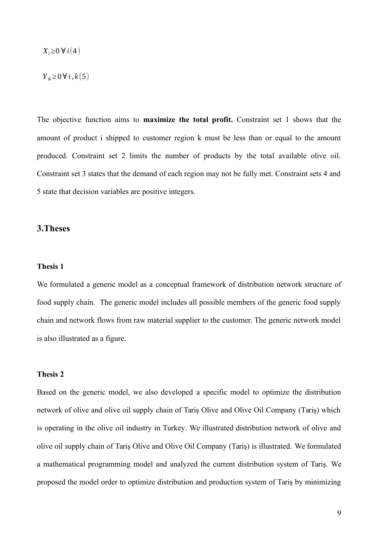*X<sup>i</sup> ≥*0 *∀i*(4)

$$
Y_{ik} \geq 0 \,\forall \, i \, , k(5)
$$

The objective function aims to **maximize the total profit.** Constraint set 1 shows that the amount of product i shipped to customer region k must be less than or equal to the amount produced. Constraint set 2 limits the number of products by the total available olive oil. Constraint set 3 states that the demand of each region may not be fully met. Constraint sets 4 and 5 state that decision variables are positive integers.

# **3.Theses**

#### **Thesis 1**

We formulated a generic model as a conceptual framework of distribution network structure of food supply chain.The generic model includes all possible members of the generic food supply chain and network flows from raw material supplier to the customer. The generic network model is also illustrated as a figure.

#### **Thesis 2**

Based on the generic model, we also developed a specific model to optimize the distribution network of olive and olive oil supply chain of Tariş Olive and Olive Oil Company (Tariş) which is operating in the olive oil industry in Turkey. We illustrated distribution network of olive and olive oil supply chain of Tariş Olive and Olive Oil Company (Tariş) is illustrated. We formulated a mathematical programming model and analyzed the current distribution system of Tariş. We proposed the model order to optimize distribution and production system of Tariş by minimizing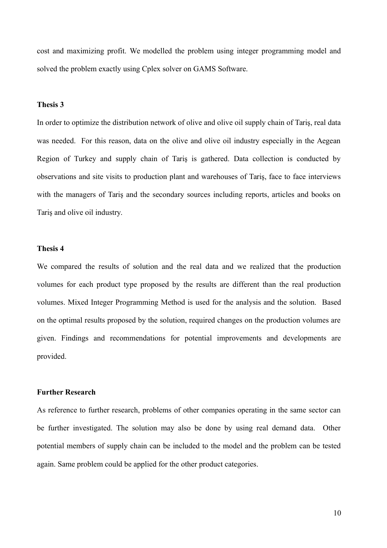cost and maximizing profit. We modelled the problem using integer programming model and solved the problem exactly using Cplex solver on GAMS Software.

#### **Thesis 3**

In order to optimize the distribution network of olive and olive oil supply chain of Tariş, real data was needed. For this reason, data on the olive and olive oil industry especially in the Aegean Region of Turkey and supply chain of Tariş is gathered. Data collection is conducted by observations and site visits to production plant and warehouses of Tariş, face to face interviews with the managers of Tariş and the secondary sources including reports, articles and books on Tariş and olive oil industry.

#### **Thesis 4**

We compared the results of solution and the real data and we realized that the production volumes for each product type proposed by the results are different than the real production volumes. Mixed Integer Programming Method is used for the analysis and the solution. Based on the optimal results proposed by the solution, required changes on the production volumes are given. Findings and recommendations for potential improvements and developments are provided.

#### **Further Research**

As reference to further research, problems of other companies operating in the same sector can be further investigated. The solution may also be done by using real demand data. Other potential members of supply chain can be included to the model and the problem can be tested again. Same problem could be applied for the other product categories.

10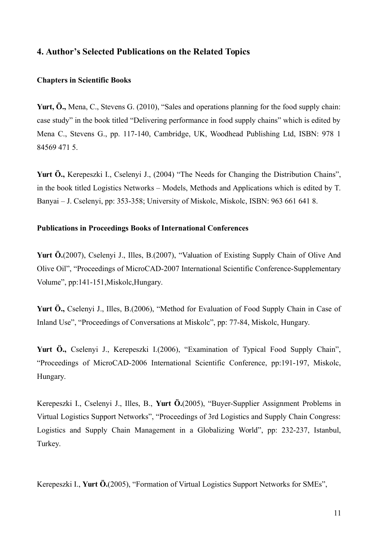# **4. Author's Selected Publications on the Related Topics**

# **Chapters in Scientific Books**

**Yurt, Ö.,** Mena, C., Stevens G. (2010), "Sales and operations planning for the food supply chain: case study" in the book titled "Delivering performance in food supply chains" which is edited by Mena C., Stevens G., pp. 117-140, Cambridge, UK, Woodhead Publishing Ltd, ISBN: 978 1 84569 471 5.

**Yurt Ö.,** Kerepeszki I., Cselenyi J., (2004) "The Needs for Changing the Distribution Chains", in the book titled Logistics Networks – Models, Methods and Applications which is edited by T. Banyai – J. Cselenyi, pp: 353-358; University of Miskolc, Miskolc, ISBN: 963 661 641 8.

## **Publications in Proceedings Books of International Conferences**

**Yurt Ö.**(2007), Cselenyi J., Illes, B.(2007), "Valuation of Existing Supply Chain of Olive And Olive Oil", "Proceedings of MicroCAD-2007 International Scientific Conference-Supplementary Volume", pp:141-151,Miskolc,Hungary.

**Yurt Ö.,** Cselenyi J., Illes, B.(2006), "Method for Evaluation of Food Supply Chain in Case of Inland Use", "Proceedings of Conversations at Miskolc", pp: 77-84, Miskolc, Hungary.

Yurt Ö., Cselenyi J., Kerepeszki I.(2006), "Examination of Typical Food Supply Chain", "Proceedings of MicroCAD-2006 International Scientific Conference, pp:191-197, Miskolc, Hungary.

Kerepeszki I., Cselenyi J., Illes, B., **Yurt Ö.**(2005), "Buyer-Supplier Assignment Problems in Virtual Logistics Support Networks", "Proceedings of 3rd Logistics and Supply Chain Congress: Logistics and Supply Chain Management in a Globalizing World", pp: 232-237, Istanbul, Turkey.

Kerepeszki I., **Yurt Ö.**(2005), "Formation of Virtual Logistics Support Networks for SMEs",